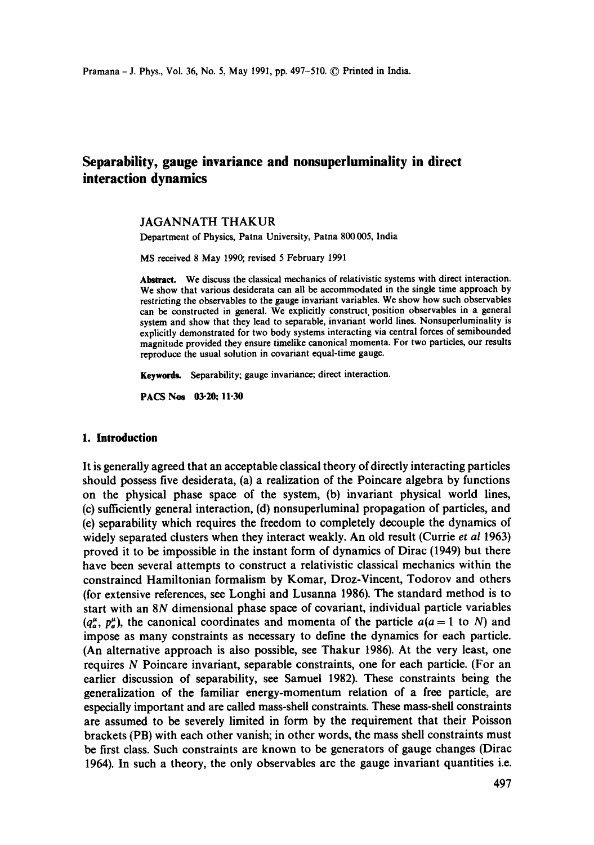# **Separability, gauge invariance and nonsuperluminality in direct interaction dynamics**

### JAGANNATH THAKUR

Department of Physics, Patna University, Patna 800005, India

MS received 8 May 1990; revised 5 February 1991

Abstract. We discuss the classical mechanics of relativistic systems with direct interaction. We show that various desiderata can all be accommodated in the single time approach by restricting the observables to the gauge invariant variables. We show how such observables can be constructed in general. We explicitly construct, position observables in a general system and show that they lead to separable, invariant world lines. Nonsuperluminality is explicitly demonstrated for two body systems interacting via central forces of semibounded magnitude provided they ensure timelike canonical momenta. For two particles, our results reproduce the usual solution in covariant equal-time gauge.

Keywords. Separability; gauge invariance; direct interaction.

**PACS Nos 03-20; 11.30** 

### **1. Introduction**

It is generally agreed that an acceptable classical theory of directly interacting particles should possess five desiderata, (a) a realization of the Poincare algebra by functions on the physical phase space of the system, (b) invariant physical world lines, (c) sufficiently general interaction, (d) nonsuperluminal propagation of particles, and (e) separability which requires the freedom to completely decouple the dynamics of widely separated clusters when they interact weakly. An old result (Currie *et al* 1963) proved it to be impossible in the instant form of dynamics of Dirac (1949) but there have been several attempts to construct a relativistic classical mechanics within the constrained Hamiitonian formalism by Komar, Droz-Vincent, Todorov and others (for extensive references, see Longhi and Lusanna 1986). The standard method is to start with an 8N dimensional phase space of covariant, individual particle variables  $(q_n^{\mu}, p_n^{\mu})$ , the canonical coordinates and momenta of the particle  $a(a = 1 \text{ to } N)$  and impose as many constraints as necessary to define the dynamics for each particle. (An alternative approach is also possible, see Thakur 1986). At the very least, one requires N Poincare invariant, separable constraints, one for each particle. (For an earlier discussion of separability, see Samuel 1982). These constraints being the generalization of the familiar energy-momentum relation of a free particle, are especially important and are called mass-shell constraints. These mass-shell constraints are assumed to be severely limited in form by the requirement that their Poisson brackets (PB) with each other vanish; in other words, the mass shell constraints must be first class. Such constraints are known to be generators of gauge changes (Dirac 1964). In such a theory, the only observables are the gauge invariant quantities i.e.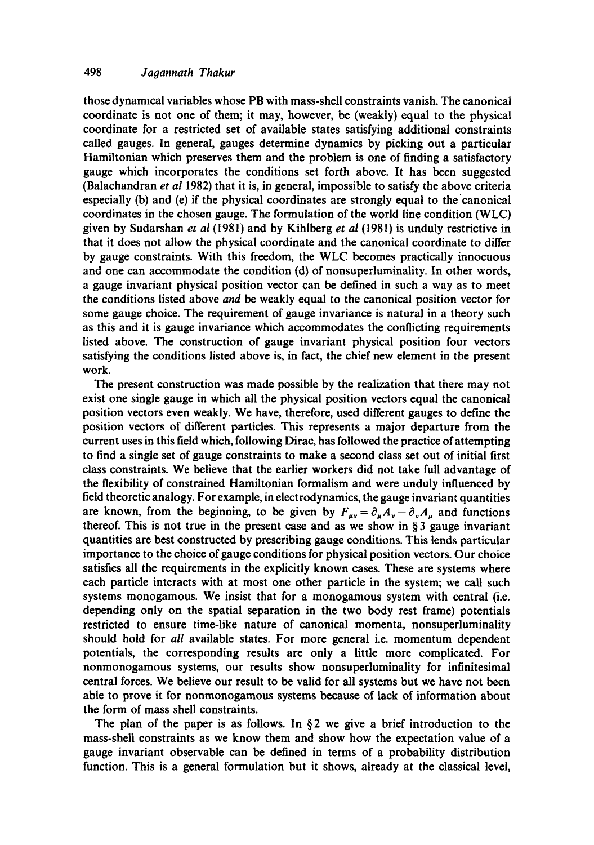## 498 *Jagannath Thakur*

those dynamical variables whose PB with mass-shell constraints vanish. The canonical coordinate is not one of them; it may, however, be (weakly) equal to the physical coordinate for a restricted set of available states satisfying additional constraints called gauges. In general, gauges determine dynamics by picking out a particular Hamiltonian which preserves them and the problem is one of finding a satisfactory gauge which incorporates the conditions set forth above. It has been suggested (Balachandran *et al* 1982) that it is, in general, impossible to satisfy the above criteria especially (b) and (e) if the physical coordinates are strongly equal to the canonical coordinates in the chosen gauge. The formulation of the world line condition (WLC) given by Sudarshan *et al* (1981) and by Kihlberg *et al* (1981) is unduly restrictive in that it does not allow the physical coordinate and the canonical coordinate to differ by gauge constraints. With this freedom, the WLC becomes practically innocuous and one can accommodate the condition (d) of nonsuperluminality. In other words, a gauge invariant physical position vector can be defined in such a way as to meet the conditions listed above *and be* weakly equal to the canonical position vector for some gauge choice. The requirement of gauge invariance is natural in a theory such as this and it is gauge invariance which accommodates the conflicting requirements listed above. The construction of gauge invariant physical position four vectors satisfying the conditions listed above is, in fact, the chief new element in the present work.

The present construction was made possible by the realization that there may not exist one single gauge in which all the physical position vectors equal the canonical position vectors even weakly. We have, therefore, used different gauges to define the position vectors of different particles. This represents a major departure from the current uses in this field which, following Dirac, has followed the practice ofattempting to find a single set of gauge constraints to make a second class set out of initial first class constraints. We believe that the earlier workers did not take full advantage of the flexibility of constrained Hamiltonian formalism and were unduly influenced by field theoretic analogy. For example, in electrodynamics, the gauge invariant quantities are known, from the beginning, to be given by  $F_{\mu\nu} = \partial_{\mu}A_{\nu}-\partial_{\nu}A_{\mu}$  and functions thereof. This is not true in the present case and as we show in  $\S$ 3 gauge invariant quantities are best constructed by prescribing gauge conditions. This lends particular importance to the choice of gauge conditions for physical position vectors. Our choice satisfies all the requirements in the explicitly known cases. These are systems where each particle interacts with at most one other particle in the system; we call such systems monogamous. We insist that for a monogamous system with central (i.e. depending only on the spatial separation in the two body rest frame) potentials restricted to ensure time-like nature of canonical momenta, nonsuperluminality should hold for *all* available states. For more general i.e. momentum dependent potentials, the corresponding results are only a little more complicated. For nonmonogamous systems, our results show nonsuperluminality for infinitesimal central forces. We believe our result to be valid for all systems but we have not been able to prove it for nonmonogamous systems because of lack of information about the form of mass shell constraints.

The plan of the paper is as follows. In  $\S 2$  we give a brief introduction to the mass-shell constraints as we know them and show how the expectation value of a gauge invariant observable can be defined in terms of a probability distribution function. This is a general formulation but it shows, already at the classical level,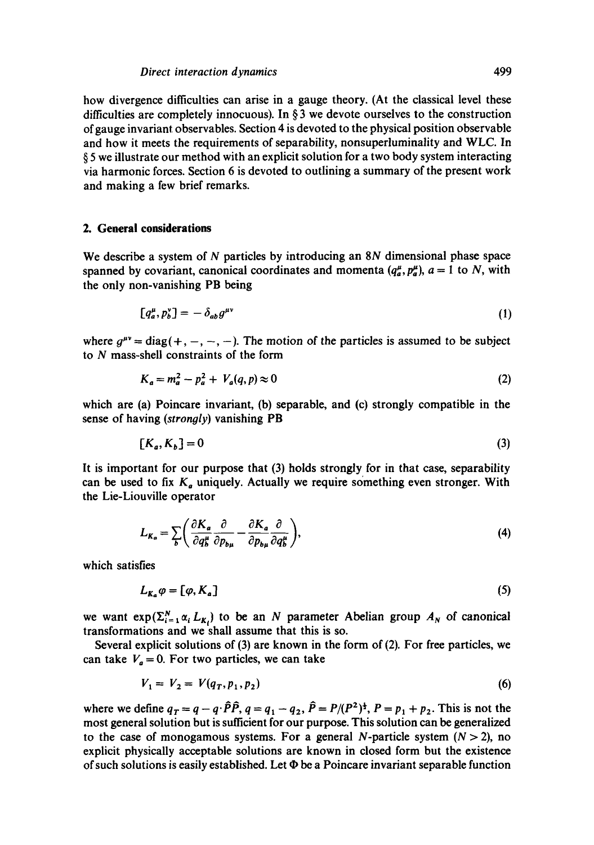## *Direct interaction dynamics* 499

how divergence difficulties can arise in a gauge theory. (At the classical level these difficulties are completely innocuous). In  $\S$  3 we devote ourselves to the construction of gauge invariant observables. Section 4 is devoted to the physical position observable and how it meets the requirements of separability, nonsuperluminality and WLC. In § 5 we illustrate our method with an explicit solution for a two body system interacting via harmonic forces. Section 6 is devoted to outlining a summary of the present work and making a few brief remarks.

### **2. General considerations**

We describe a system of N particles by introducing an 8N dimensional phase space spanned by covariant, canonical coordinates and momenta  $(q_a^{\mu}, p_a^{\mu})$ ,  $a = 1$  to N, with the only non-vanishing PB being

$$
[q_a^\mu, p_b^\nu] = -\delta_{ab} g^{\mu\nu} \tag{1}
$$

where  $g^{\mu\nu} = \text{diag}(+,-,-,-)$ . The motion of the particles is assumed to be subject to N mass-shell constraints of the form

$$
K_a = m_a^2 - p_a^2 + V_a(q, p) \approx 0
$$
 (2)

which are (a) Poincare invariant, (b) separable, and (c) strongly compatible in the sense of having *(strongly)* vanishing PB

$$
[K_a, K_b] = 0 \tag{3}
$$

It is important for our purpose that (3) holds strongly for in that case, separability can be used to fix  $K_a$  uniquely. Actually we require something even stronger. With the Lie-Liouville operator

$$
L_{K_a} = \sum_{b} \left( \frac{\partial K_a}{\partial q_b^{\mu}} \frac{\partial}{\partial p_{b\mu}} - \frac{\partial K_a}{\partial p_{b\mu}} \frac{\partial}{\partial q_b^{\mu}} \right),
$$
(4)

which satisfies

$$
L_{K_a}\varphi = [\varphi, K_a] \tag{5}
$$

we want  $exp(\sum_{i=1}^{N} \alpha_i L_{K_i})$  to be an N parameter Abelian group  $A_N$  of canonical transformations and we shall assume that this is so.

Several explicit solutions of (3) are known in the form of (2). For free particles, we can take  $V_a = 0$ . For two particles, we can take

$$
V_1 = V_2 = V(q_T, p_1, p_2) \tag{6}
$$

where we define  $q_T = q - q \cdot \hat{P}\hat{P}$ ,  $q = q_1 - q_2$ ,  $\hat{P} = P/(P^2)^{\frac{1}{2}}$ ,  $P = p_1 + p_2$ . This is not the most general solution but is sufficient for our purpose. This solution can be generalized to the case of monogamous systems. For a general N-particle system  $(N > 2)$ , no explicit physically acceptable solutions are known in closed form but the existence of such solutions is easily established. Let  $\Phi$  be a Poincare invariant separable function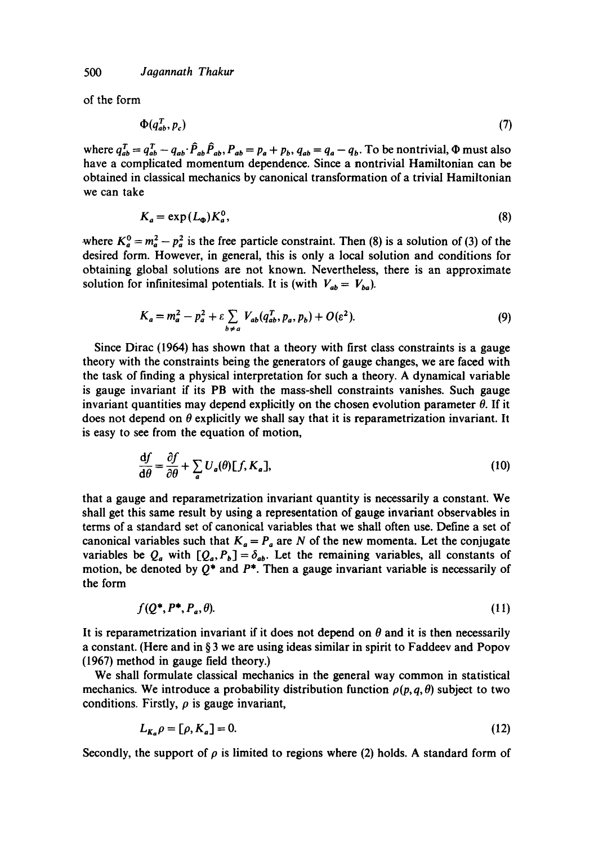of the form

$$
\Phi(q_{ab}^T, p_c) \tag{7}
$$

where  $q_{ab}^T = q_{ab}^T - q_{ab} \cdot \hat{P}_{ab} \hat{P}_{ab}$ ,  $P_{ab} = p_a + p_b$ ,  $q_{ab} = q_a - q_b$ . To be nontrivial,  $\Phi$  must also have a complicated momentum dependence. Since a nontrivial Hamiltonian can be obtained in classical mechanics by canonical transformation of a trivial Hamiltonian we can take

$$
K_a = \exp\left(L_{\mathbf{Q}}\right) K_a^0,\tag{8}
$$

where  $K_a^0 = m_a^2 - p_a^2$  is the free particle constraint. Then (8) is a solution of (3) of the desired form. However, in general, this is only a local solution and conditions for obtaining global solutions are not known. Nevertheless, there is an approximate solution for infinitesimal potentials. It is (with  $V_{ab} = V_{ba}$ ).

$$
K_a = m_a^2 - p_a^2 + \varepsilon \sum_{b \neq a} V_{ab}(q_{ab}^T, p_a, p_b) + O(\varepsilon^2). \tag{9}
$$

Since Dirac (1964) has shown that a theory with first class constraints is a gauge theory with the constraints being the generators of gauge changes, we are faced with the task of finding a physical interpretation for such a theory. A dynamical variable is gauge invariant if its PB with the mass-shell constraints vanishes. Such gauge invariant quantities may depend explicitly on the chosen evolution parameter  $\theta$ . If it does not depend on  $\theta$  explicitly we shall say that it is reparametrization invariant. It is easy to see from the equation of motion,

$$
\frac{\mathrm{d}f}{\mathrm{d}\theta} = \frac{\partial f}{\partial \theta} + \sum_{a} U_a(\theta) [f, K_a], \tag{10}
$$

that a gauge and reparametrization invariant quantity is necessarily a constant. We shall get this same result by using a representation of gauge invariant observables in terms of a standard set of canonical variables that we shall often use. Define a set of canonical variables such that  $K_a = P_a$  are N of the new momenta. Let the conjugate variables be  $Q_a$  with  $[Q_a, P_b] = \delta_{ab}$ . Let the remaining variables, all constants of motion, be denoted by  $Q^*$  and  $P^*$ . Then a gauge invariant variable is necessarily of the form

$$
f(Q^*, P^*, P_a, \theta). \tag{11}
$$

It is reparametrization invariant if it does not depend on  $\theta$  and it is then necessarily a constant. (Here and in § 3 we are using ideas similar in spirit to Faddeev and Popov (1967) method in gauge field theory.)

We shall formulate classical mechanics in the general way common in statistical mechanics. We introduce a probability distribution function  $\rho(p, q, \theta)$  subject to two conditions. Firstly,  $\rho$  is gauge invariant,

$$
L_{K_a} \rho = [\rho, K_a] = 0. \tag{12}
$$

Secondly, the support of  $\rho$  is limited to regions where (2) holds. A standard form of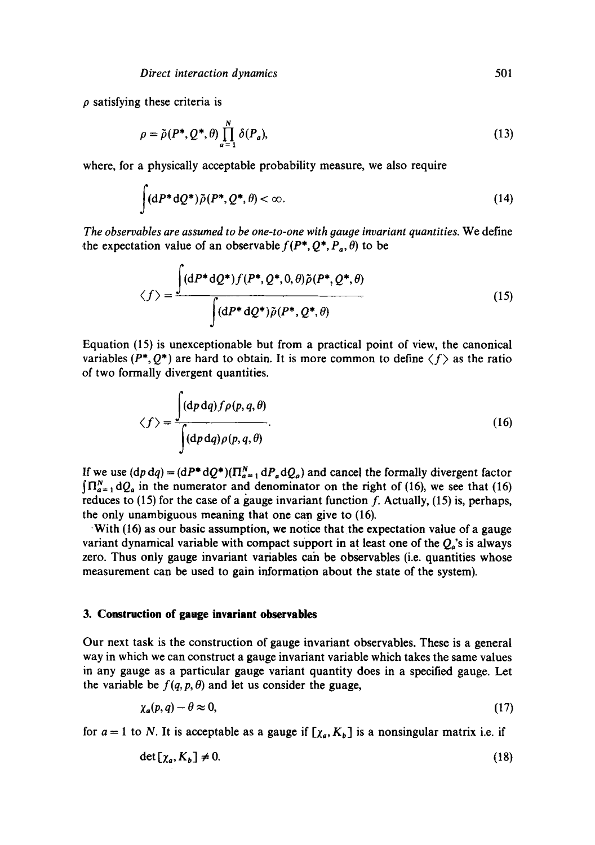**p** satisfying these criteria is

$$
\rho = \tilde{\rho}(P^*, Q^*, \theta) \prod_{a=1}^N \delta(P_a), \qquad (13)
$$

where, for a physically acceptable probability measure, we also require

$$
\int (dP^*dQ^*)\tilde{\rho}(P^*,Q^*,\theta) < \infty.
$$
 (14)

*The observables are assumed to be one-to-one with gauge invariant quantities.* We define the expectation value of an observable  $f(P^*, Q^*, P_a, \theta)$  to be

$$
\langle f \rangle = \frac{\int (dP^* dQ^*) f(P^*, Q^*, 0, \theta) \tilde{\rho}(P^*, Q^*, \theta)}{\int (dP^* dQ^*) \tilde{\rho}(P^*, Q^*, \theta)}
$$
(15)

Equation (15) is unexceptionable but from a practical point of view, the canonical variables ( $P^*, Q^*$ ) are hard to obtain. It is more common to define  $\langle f \rangle$  as the ratio of two formally divergent quantities.

$$
\langle f \rangle = \frac{\int (dp \, dq) f \rho(p, q, \theta)}{\int (dp \, dq) \rho(p, q, \theta)}.
$$
\n(16)

If we use  $(dp dq) = (dP^* dQ^*)(\prod_{a=1}^N dP_a dQ_a)$  and cancel the formally divergent factor  $\int \prod_{a=1}^{N} dQ_a$  in the numerator and denominator on the right of (16), we see that (16) reduces to (15) for the case of a gauge invariant function **f.** Actually, (15) is, perhaps, the only unambiguous meaning that one can give to (16).

With (16) as our basic assumption, we notice that the expectation value of a gauge variant dynamical variable with compact support in at least one of the  $Q_a$ 's is always zero. Thus only gauge invariant variables can be observables (i.e. quantities whose measurement can be used to gain information about the state of the system).

#### **3. Construction of gauge invariant observables**

Our next task is the construction of gauge invariant observables. These is a general way in which we can construct a gauge invariant variable which takes the same values in any gauge as a particular gauge variant quantity does in a specified gauge. Let the variable be  $f(q, p, \theta)$  and let us consider the guage,

$$
\chi_a(p,q) - \theta \approx 0,\tag{17}
$$

for  $a = 1$  to N. It is acceptable as a gauge if  $[\chi_a, K_b]$  is a nonsingular matrix i.e. if

$$
\det\left[\chi_a, K_b\right] \neq 0. \tag{18}
$$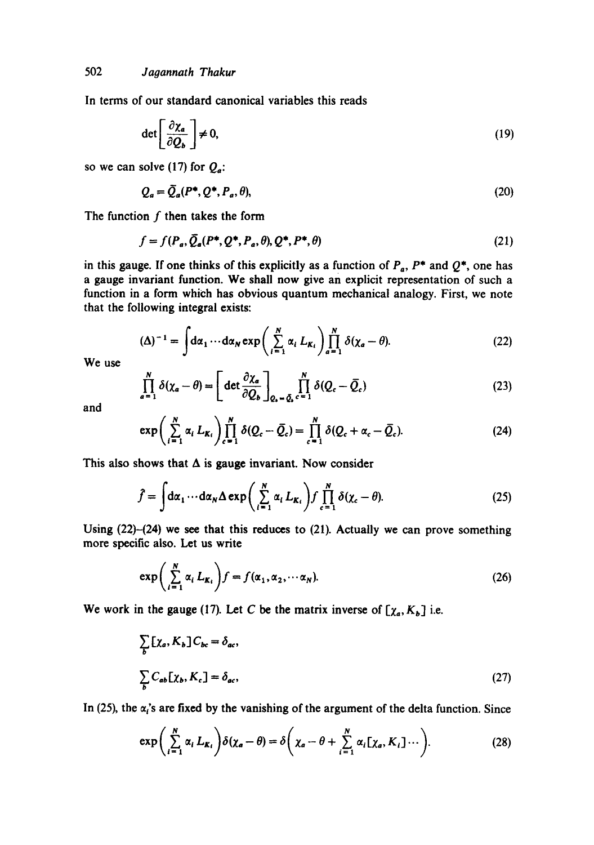In terms of our standard canonical variables this reads

$$
\det \left[ \frac{\partial \chi_a}{\partial Q_b} \right] \neq 0, \tag{19}
$$

so we can solve (17) for  $Q_a$ :

$$
Q_a = \overline{Q}_a(P^*, Q^*, P_a, \theta),\tag{20}
$$

The function  $f$  then takes the form

$$
f = f(P_a, \overline{Q}_a(P^*, Q^*, P_a, \theta), Q^*, P^*, \theta)
$$
\n(21)

in this gauge. If one thinks of this explicitly as a function of  $P_a$ ,  $P^*$  and  $Q^*$ , one has a gauge invariant function. We shall now give an explicit representation of such a function in a form which has obvious quantum mechanical analogy. First, we note that the following integral exists:

$$
(\Delta)^{-1} = \int d\alpha_1 \cdots d\alpha_N \exp\left(\sum_{i=1}^N \alpha_i L_{K_i}\right) \prod_{a=1}^N \delta(\chi_a - \theta). \tag{22}
$$

We use

$$
\prod_{a=1}^{N} \delta(\chi_a - \theta) = \left[ \det \frac{\partial \chi_a}{\partial Q_b} \right]_{Q_b - \bar{Q}_b} \prod_{c=1}^{N} \delta(Q_c - \bar{Q}_c)
$$
\n(23)

and

$$
\exp\bigg(\sum_{i=1}^N\alpha_i L_{K_i}\bigg)\prod_{c=1}^N\delta(Q_c-\bar{Q}_c)=\prod_{c=1}^N\delta(Q_c+\alpha_c-\bar{Q}_c). \hspace{1cm} (24)
$$

This also shows that  $\Delta$  is gauge invariant. Now consider

$$
\hat{f} = \int d\alpha_1 \cdots d\alpha_N \Delta \exp\left(\sum_{i=1}^N \alpha_i L_{K_i}\right) f \prod_{c=1}^N \delta(\chi_c - \theta). \tag{25}
$$

Using  $(22)$ - $(24)$  we see that this reduces to  $(21)$ . Actually we can prove something more specific also. Let us write

$$
\exp\left(\sum_{i=1}^{N} \alpha_i L_{K_i}\right) f = f(\alpha_1, \alpha_2, \cdots \alpha_N). \tag{26}
$$

We work in the gauge (17). Let C be the matrix inverse of  $[\chi_a, K_b]$  i.e.

$$
\sum_{b} [\chi_a, K_b] C_{bc} = \delta_{ac},
$$
\n
$$
\sum_{b} C_{ab} [\chi_b, K_c] = \delta_{ac},
$$
\n(27)

In (25), the  $\alpha_i$ 's are fixed by the vanishing of the argument of the delta function. Since

$$
\exp\bigg(\sum_{i=1}^N\alpha_i L_{K_i}\bigg)\delta(\chi_a-\theta)=\delta\bigg(\chi_a-\theta+\sum_{i=1}^N\alpha_i[\chi_a,K_i]\cdots\bigg).
$$
 (28)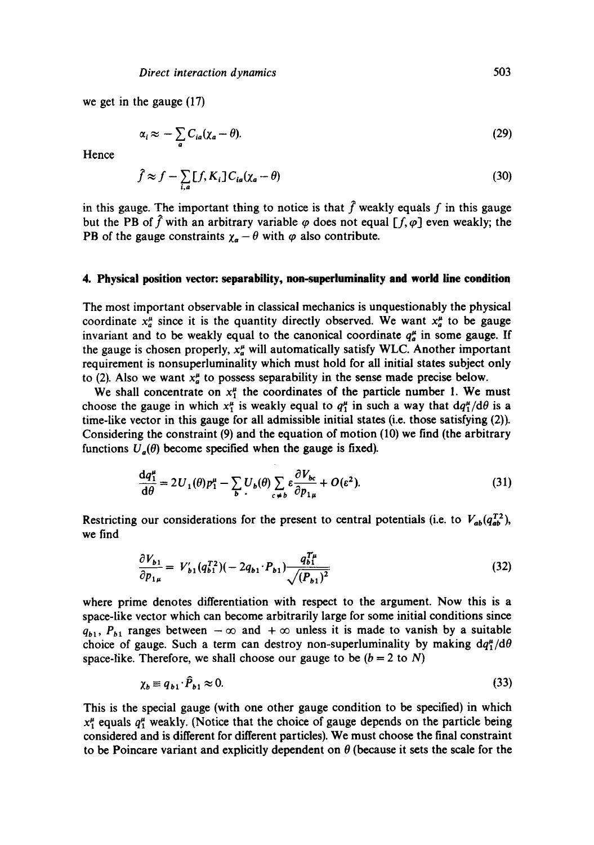we get in the gauge (17)

$$
\alpha_i \approx -\sum_a C_{ia}(\chi_a - \theta). \tag{29}
$$

Hence

$$
\hat{f} \approx f - \sum_{i,a} [f, K_i] C_{ia} (\chi_a - \theta)
$$
\n(30)

in this gauge. The important thing to notice is that  $\hat{f}$  weakly equals f in this gauge but the PB of  $\hat{f}$  with an arbitrary variable  $\varphi$  does not equal [f,  $\varphi$ ] even weakly; the PB of the gauge constraints  $\chi_a - \theta$  with  $\varphi$  also contribute.

#### **4. Physical position vector: separability, non-superluminality and world line condition**

The most important observable in classical mechanics is unquestionably the physical coordinate  $x_a^{\mu}$  since it is the quantity directly observed. We want  $x_a^{\mu}$  to be gauge invariant and to be weakly equal to the canonical coordinate  $q_a^{\mu}$  in some gauge. If the gauge is chosen properly,  $x_a^{\mu}$  will automatically satisfy WLC. Another important requirement is nonsuperluminality which must hold for all initial states subject only to (2). Also we want  $x_a^{\mu}$  to possess separability in the sense made precise below.

We shall concentrate on  $x_1^{\mu}$  the coordinates of the particle number 1. We must choose the gauge in which  $x_1^{\mu}$  is weakly equal to  $q_1^{\mu}$  in such a way that  $dq_1^{\mu}/d\theta$  is a time-like vector in this gauge for all admissible initial states (i.e. those satisfying (2)). Considering the constraint (9) and the equation of motion (10) we find (the arbitrary functions  $U_a(\theta)$  become specified when the gauge is fixed).

$$
\frac{dq_1^{\mu}}{d\theta} = 2U_1(\theta)p_1^{\mu} - \sum_b U_b(\theta) \sum_{c \neq b} \varepsilon \frac{\partial V_{bc}}{\partial p_{1\mu}} + O(\varepsilon^2). \tag{31}
$$

Restricting our considerations for the present to central potentials (i.e. to  $V_{ab}(q_{ab}^{T2})$ , we find

$$
\frac{\partial V_{b1}}{\partial p_{1\mu}} = V'_{b1}(q_{b1}^{T2})(-2q_{b1} \cdot P_{b1}) \frac{q_{b1}^{T\mu}}{\sqrt{(P_{b1})^2}}
$$
(32)

where prime denotes differentiation with respect to the argument. Now this is a space-like vector which can become arbitrarily large for some initial conditions since  $q_{b1}$ ,  $P_{b1}$  ranges between  $-\infty$  and  $+\infty$  unless it is made to vanish by a suitable choice of gauge. Such a term can destroy non-superluminality by making  $dq_1^{\mu}/d\theta$ space-like. Therefore, we shall choose our gauge to be  $(b = 2$  to N)

$$
\chi_b \equiv q_{b1} \cdot \hat{P}_{b1} \approx 0. \tag{33}
$$

This is the special gauge (with one other gauge condition to be specified) in which  $x_1^{\mu}$  equals  $q_1^{\mu}$  weakly. (Notice that the choice of gauge depends on the particle being considered and is different for different particles). We must choose the final constraint to be Poincare variant and explicitly dependent on  $\theta$  (because it sets the scale for the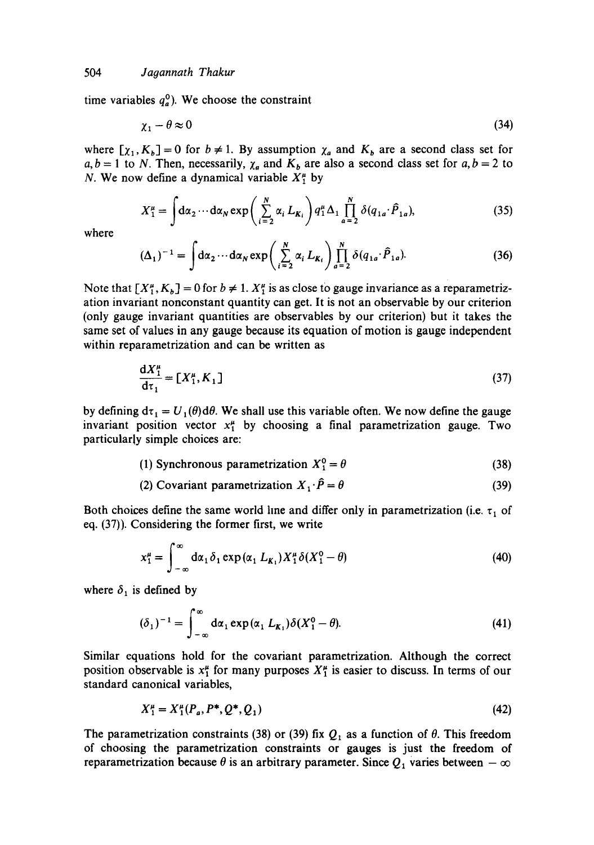time variables  $q_a^0$ ). We choose the constraint

$$
\chi_1 - \theta \approx 0 \tag{34}
$$

where  $[\chi_1, K_b] = 0$  for  $b \neq 1$ . By assumption  $\chi_a$  and  $K_b$  are a second class set for  $a, b = 1$  to N. Then, necessarily,  $\chi_a$  and  $K_b$  are also a second class set for  $a, b = 2$  to N. We now define a dynamical variable  $X_1^{\mu}$  by

$$
X_1^{\mu} = \int d\alpha_2 \cdots d\alpha_N \exp\left(\sum_{i=2}^N \alpha_i L_{K_i}\right) q_1^{\mu} \Delta_1 \prod_{a=2}^N \delta(q_{1a} \cdot \hat{P}_{1a}), \tag{35}
$$

where

$$
(\Delta_1)^{-1} = \int d\alpha_2 \cdots d\alpha_N \exp\left(\sum_{i=2}^N \alpha_i L_{K_i}\right) \prod_{a=2}^N \delta(q_{1a} \cdot \hat{P}_{1a}).
$$
 (36)

Note that  $[X_1^{\mu}, K_b] = 0$  for  $b \neq 1$ .  $X_1^{\mu}$  is as close to gauge invariance as a reparametrization invariant nonconstant quantity can get. It is not an observable by our criterion (only gauge invariant quantities are observables by our criterion) but it takes the same set of values in any gauge because its equation of motion is gauge independent within reparametrization and can be written as

$$
\frac{dX_1^{\mu}}{d\tau_1} = [X_1^{\mu}, K_1] \tag{37}
$$

by defining  $d\tau_1 = U_1(\theta) d\theta$ . We shall use this variable often. We now define the gauge invariant position vector  $x_1^{\mu}$  by choosing a final parametrization gauge. Two particularly simple choices are:

- (1) Synchronous parametrization  $X_1^0 = \theta$  (38)
- (2) Covariant parametrization  $X_1 \cdot \hat{P} = \theta$  (39)

Both choices define the same world line and differ only in parametrization (i.e.  $\tau_1$  of eq. (37)). Considering the former first, we write

$$
x_1^{\mu} = \int_{-\infty}^{\infty} d\alpha_1 \delta_1 \exp(\alpha_1 L_{K_1}) X_1^{\mu} \delta(X_1^0 - \theta)
$$
 (40)

where  $\delta_1$  is defined by

$$
(\delta_1)^{-1} = \int_{-\infty}^{\infty} d\alpha_1 \exp(\alpha_1 L_{K_1}) \delta(X_1^0 - \theta).
$$
 (41)

Similar equations hold for the covariant parametrization. Although the correct position observable is  $x_1^{\mu}$  for many purposes  $X_1^{\mu}$  is easier to discuss. In terms of our standard canonical variables,

$$
X_1^{\mu} = X_1^{\mu} (P_a, P^*, Q^*, Q_1) \tag{42}
$$

The parametrization constraints (38) or (39) fix  $Q_1$  as a function of  $\theta$ . This freedom of choosing the parametrization constraints or gauges is just the freedom of reparametrization because  $\theta$  is an arbitrary parameter. Since  $Q_1$  varies between  $-\infty$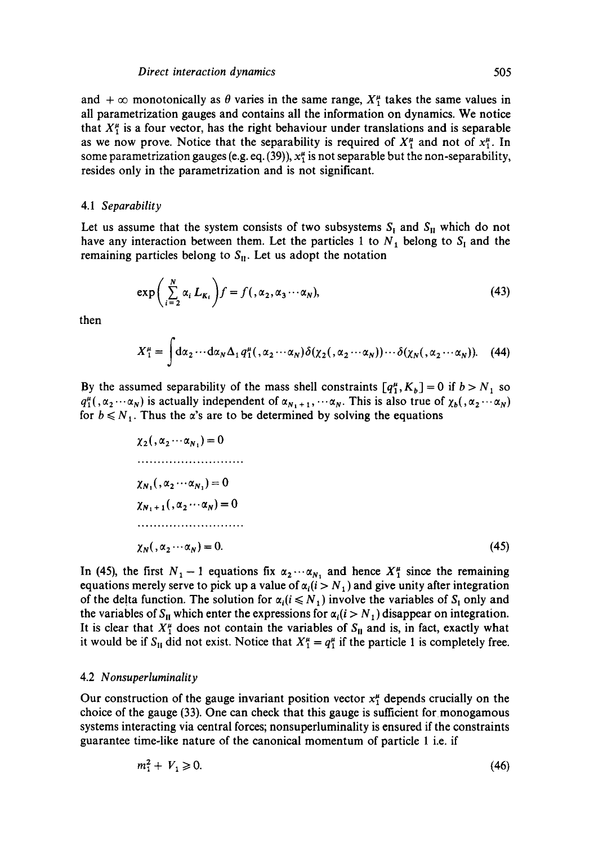#### *Direct interaction dynamics* 505

and  $+ \infty$  monotonically as  $\theta$  varies in the same range,  $X^{\mu}_{\tau}$  takes the same values in all parametrization gauges and contains all the information on dynamics. We notice that  $X^{\mu}_{1}$  is a four vector, has the right behaviour under translations and is separable as we now prove. Notice that the separability is required of  $X_1^{\mu}$  and not of  $x_1^{\mu}$ . In some parametrization gauges (e.g. eq. (39)),  $x_1^{\mu}$  is not separable but the non-separability, resides only in the parametrization and is not significant.

#### 4.1 *Separability*

Let us assume that the system consists of two subsystems  $S_I$  and  $S_{II}$  which do not have any interaction between them. Let the particles 1 to  $N_1$  belong to  $S_1$  and the remaining particles belong to  $S_{II}$ . Let us adopt the notation

$$
\exp\left(\sum_{i=2}^{N} \alpha_i L_{K_i}\right) f = f(\alpha_2, \alpha_3 \cdots \alpha_N),\tag{43}
$$

then

$$
X_1^{\mu} = \int d\alpha_2 \cdots d\alpha_N \Delta_1 q_1^{\mu}(\alpha_2 \cdots \alpha_N) \delta(\chi_2(\alpha_2 \cdots \alpha_N)) \cdots \delta(\chi_N(\alpha_2 \cdots \alpha_N)). \quad (44)
$$

By the assumed separability of the mass shell constraints  $[q_1^{\mu}, K_b] = 0$  if  $b > N_1$  so  $q_1^{\mu}(\alpha_2\cdots\alpha_N)$  is actually independent of  $\alpha_{N_1+1},\cdots\alpha_N$ . This is also true of  $\chi_b(\alpha_2\cdots\alpha_N)$ for  $b \le N_1$ . Thus the  $\alpha$ 's are to be determined by solving the equations

$$
\chi_2(\alpha_2 \cdots \alpha_{N_1}) = 0
$$
  
\n
$$
\chi_{N_1}(\alpha_2 \cdots \alpha_{N_1}) = 0
$$
  
\n
$$
\chi_{N_1+1}(\alpha_2 \cdots \alpha_N) = 0
$$
  
\n
$$
\chi_{N_1}(\alpha_2 \cdots \alpha_N) = 0.
$$
  
\n(45)

In (45), the first  $N_1-1$  equations fix  $\alpha_2 \cdots \alpha_{N_1}$  and hence  $X_1^{\mu}$  since the remaining equations merely serve to pick up a value of  $\alpha_i (i > N_1)$  and give unity after integration of the delta function. The solution for  $\alpha_i (i \leq N_1)$  involve the variables of  $S_1$  only and the variables of  $S_{II}$  which enter the expressions for  $\alpha_i (i > N_1)$  disappear on integration. It is clear that  $X^{\mu}_{\perp}$  does not contain the variables of  $S_{\rm II}$  and is, in fact, exactly what it would be if  $S_H$  did not exist. Notice that  $X_1^{\mu} = q_1^{\mu}$  if the particle 1 is completely free.

#### 4.2 *Nonsuperluminality*

Our construction of the gauge invariant position vector  $x_1^{\mu}$  depends crucially on the choice of the gauge (33). One can check that this gauge is sufficient for monogamous systems interacting via central forces; nonsuperluminality is ensured if the constraints guarantee time-like nature of the canonical momentum of particle 1 i.e. if

$$
m_1^2 + V_1 \ge 0. \tag{46}
$$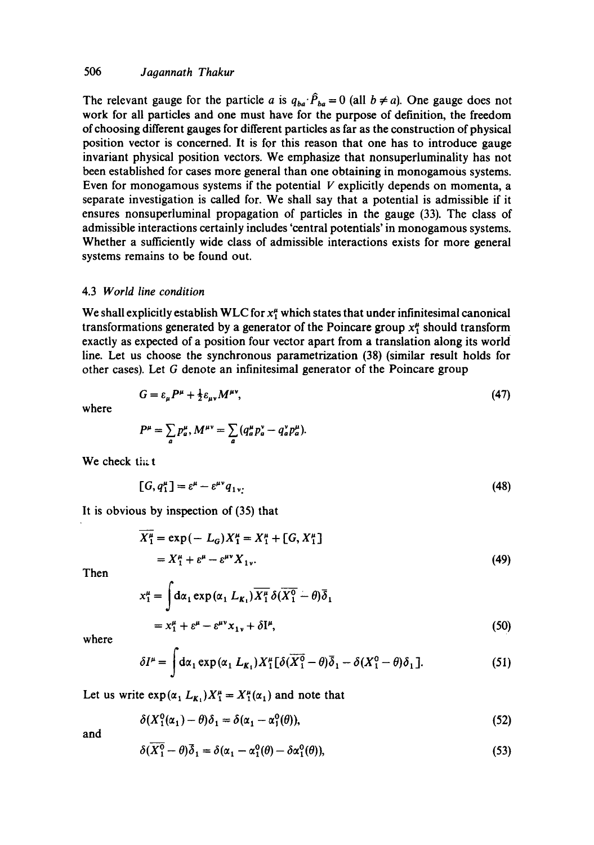## 506 *Jagannath Thakur*

The relevant gauge for the particle a is  $q_{ba} \cdot \hat{P}_{ba} = 0$  (all  $b \neq a$ ). One gauge does not work for all particles and one must have for the purpose of definition, the freedom of choosing different gauges for different particles as far as the construction of physical position vector is concerned. It is for this reason that one has to introduce gauge invariant physical position vectors. We emphasize that nonsuperluminality has not been established for cases more general than one obtaining in monogamous systems. Even for monogamous systems if the potential  $V$  explicitly depends on momenta, a separate investigation is called for. We shall say that a potential is admissible if it ensures nonsuperluminal propagation of particles in the gauge (33). The class of admissible interactions certainly includes 'central potentials' in monogamous systems. Whether a sufficiently wide class of admissible interactions exists for more general systems remains to be found out.

#### 4.3 *World line condition*

We shall explicitly establish WLC for  $x_1^{\mu}$  which states that under infinitesimal canonical transformations generated by a generator of the Poincare group  $x_1^{\mu}$  should transform exactly as expected of a position four vector apart from a translation along its world line. Let us choose the synchronous parametrization (38) (similar result holds for other cases). Let G denote an infinitesimal generator of the Poincare group

$$
G = \varepsilon_{\mu} P^{\mu} + \frac{1}{2} \varepsilon_{\mu\nu} M^{\mu\nu},\tag{47}
$$

where

 $P^{\mu} = \sum_{a} p^{\mu}_{a}, M^{\mu\nu} = \sum_{a} (q^{\mu}_{a} p^{\nu}_{a} - q^{\nu}_{a} p^{\mu}_{a})$ 

We check that

$$
[G, q_1^{\mu}] = \varepsilon^{\mu} - \varepsilon^{\mu\nu} q_{1\nu}.
$$
 (48)

It is obvious by inspection of (35) that

$$
\overline{X_1^{\mu}} = \exp(-L_G)X_1^{\mu} = X_1^{\mu} + [G, X_1^{\mu}]
$$
  
=  $X_1^{\mu} + \varepsilon^{\mu} - \varepsilon^{\mu \nu} X_1^{\nu}$ . (49)

Then

$$
x_1^{\mu} = \int d\alpha_1 \exp(\alpha_1 L_{K_1}) \overline{X_1^{\mu}} \delta(\overline{X_1^0} - \theta) \overline{\delta}_1
$$
  
=  $x_1^{\mu} + \varepsilon^{\mu} - \varepsilon^{\mu \nu} x_{1 \nu} + \delta I^{\mu},$  (50)

where

$$
\delta I^{\mu} = \int d\alpha_1 \exp(\alpha_1 L_{K_1}) X_1^{\mu} [\delta(\overline{X_1^0} - \theta) \overline{\delta}_1 - \delta(X_1^0 - \theta) \delta_1]. \tag{51}
$$

Let us write  $\exp(\alpha_1 L_{K_1})X_1^{\mu} = X_1^{\mu}(\alpha_1)$  and note that

$$
\delta(X_1^0(\alpha_1) - \theta)\delta_1 = \delta(\alpha_1 - \alpha_1^0(\theta)),\tag{52}
$$

and

$$
\delta(\overline{X_1^0} - \theta)\overline{\delta}_1 = \delta(\alpha_1 - \alpha_1^0(\theta) - \delta\alpha_1^0(\theta)),\tag{53}
$$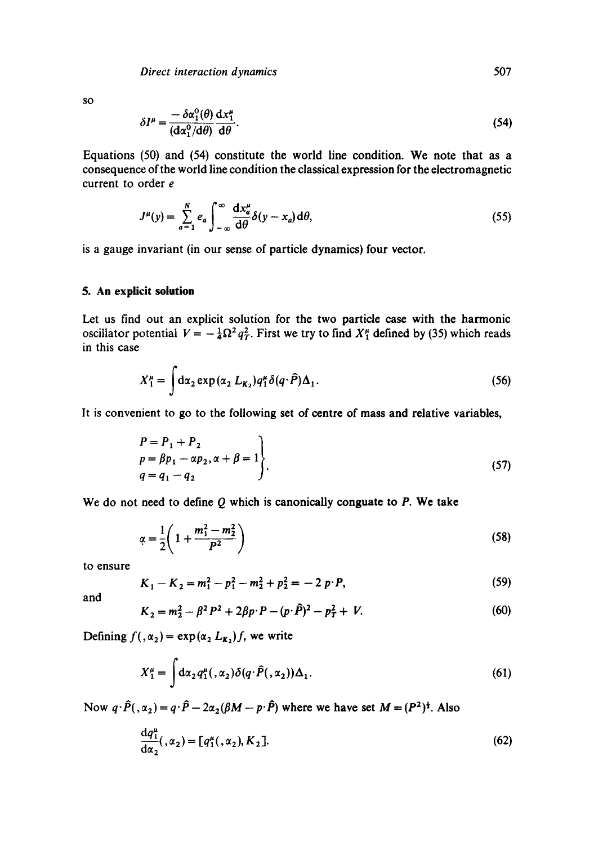SO

$$
\delta I^{\mu} = \frac{-\delta \alpha_1^0(\theta)}{(\mathrm{d}\alpha_1^0/\mathrm{d}\theta)} \frac{\mathrm{d}x_1^{\mu}}{\mathrm{d}\theta}.
$$
 (54)

Equations (50) and (54) constitute the world line condition. We note that as a consequence of the world line condition the classical expression for the electromagnetic current to order e

$$
J^{\mu}(y) = \sum_{a=1}^{N} e_a \int_{-\infty}^{\infty} \frac{\mathrm{d}x_a^{\mu}}{\mathrm{d}\theta} \delta(y - x_a) \mathrm{d}\theta,\tag{55}
$$

is a gauge invariant (in our sense of particle dynamics) four vector.

## **5. An explicit solution**

Let us find out an explicit solution for the two particle case with the harmonic oscillator potential  $V = -\frac{1}{4}\Omega^2 q_T^2$ . First we try to find  $X_1^{\mu}$  defined by (35) which reads in this case

$$
X_1^{\mu} = \int d\alpha_2 \exp(\alpha_2 L_{K_2}) q_1^{\mu} \delta(q \cdot \hat{P}) \Delta_1.
$$
 (56)

It is convenient to go to the following set of centre of mass and relative variables,

$$
\begin{aligned}\nP &= P_1 + P_2 \\
p &= \beta p_1 - \alpha p_2, \alpha + \beta = 1 \\
q &= q_1 - q_2\n\end{aligned}
$$
\n(57)

We do not need to define  $Q$  which is canonically conguate to  $P$ . We take

$$
\alpha = \frac{1}{2} \left( 1 + \frac{m_1^2 - m_2^2}{P^2} \right) \tag{58}
$$

to ensure

$$
K_1 - K_2 = m_1^2 - p_1^2 - m_2^2 + p_2^2 = -2 p \cdot P,
$$
\n(59)

and

$$
K_2 = m_2^2 - \beta^2 P^2 + 2\beta p \cdot P - (p \cdot \hat{P})^2 - p_T^2 + V. \tag{60}
$$

Defining  $f(x_2) = \exp(\alpha_2 L_{K_2})f$ , we write

$$
X_1^{\mu} = \int d\alpha_2 q_1^{\mu}(\alpha_2) \delta(q \cdot \hat{P}(\alpha_2)) \Delta_1.
$$
 (61)

Now  $q \cdot \hat{P}(. \alpha_2) = q \cdot \hat{P} - 2\alpha_2(\beta M - p \cdot \hat{P})$  where we have set  $M = (P^2)^{\frac{1}{2}}$ . Also

$$
\frac{\mathrm{d}q_1^{\mu}}{\mathrm{d}\alpha_2}, (\alpha_2) = [q_1^{\mu}, (\alpha_2), K_2]. \tag{62}
$$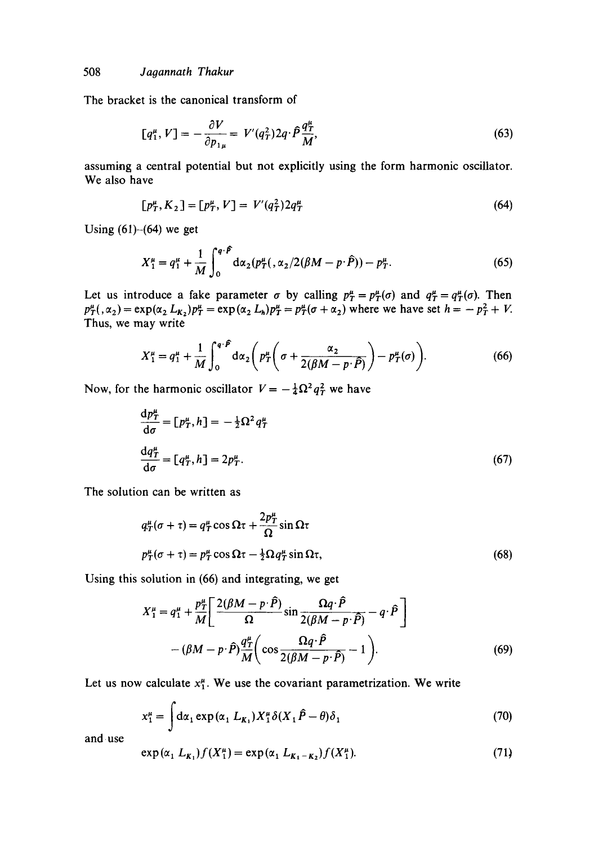The bracket is the canonical transform of

$$
[q_1^{\mu}, V] = -\frac{\partial V}{\partial p_{1\mu}} = V'(q_T^2) 2q \cdot \hat{P} \frac{q_T^{\mu}}{M},
$$
\n(63)

assuming a central potential but not explicitly using the form harmonic oscillator. We also have

$$
[p_T^{\mu}, K_2] = [p_T^{\mu}, V] = V'(q_T^2) 2q_T^{\mu}
$$
\n(64)

Using  $(61)$ - $(64)$  we get

$$
X_1^{\mu} = q_1^{\mu} + \frac{1}{M} \int_0^{q \cdot \hat{P}} d\alpha_2 (p_T^{\mu}(\alpha_2/2(\beta M - p \cdot \hat{P})) - p_T^{\mu}.
$$
 (65)

Let us introduce a fake parameter  $\sigma$  by calling  $p_T^{\mu} = p_T^{\mu}(\sigma)$  and  $q_T^{\mu} = q_T^{\mu}(\sigma)$ . Then  $p_T^{\mu}(\alpha_2)$  = exp( $\alpha_2 L_{K_2}$ ) $p_T^{\mu}$  = exp( $\alpha_2 L_h$ ) $p_T^{\mu} = p_T^{\mu}(\sigma + \alpha_2)$  where we have set  $h = -p_T^2 + V$ . Thus, we may write

$$
X_1^{\mu} = q_1^{\mu} + \frac{1}{M} \int_0^{q \cdot \widehat{P}} d\alpha_2 \bigg( p_T^{\mu} \bigg( \sigma + \frac{\alpha_2}{2(\beta M - p \cdot \widehat{P})} \bigg) - p_T^{\mu}(\sigma) \bigg). \tag{66}
$$

Now, for the harmonic oscillator  $V = -\frac{1}{4}\Omega^2 q_T^2$  we have

$$
\frac{dp_T^{\mu}}{d\sigma} = [p_T^{\mu}, h] = -\frac{1}{2}\Omega^2 q_T^{\mu}
$$
  

$$
\frac{dq_T^{\mu}}{d\sigma} = [q_T^{\mu}, h] = 2p_T^{\mu}.
$$
 (67)

The solution can be written as

$$
q_T^{\mu}(\sigma + \tau) = q_T^{\mu} \cos \Omega \tau + \frac{2p_T^{\mu}}{\Omega} \sin \Omega \tau
$$
  

$$
p_T^{\mu}(\sigma + \tau) = p_T^{\mu} \cos \Omega \tau - \frac{1}{2} \Omega q_T^{\mu} \sin \Omega \tau,
$$
 (68)

Using this solution in (66) and integrating, we get

$$
X_1^{\mu} = q_1^{\mu} + \frac{p_1^{\mu}}{M} \left[ \frac{2(\beta M - p \cdot \hat{P})}{\Omega} \sin \frac{\Omega q \cdot \hat{P}}{2(\beta M - p \cdot \hat{P})} - q \cdot \hat{P} \right]
$$

$$
-(\beta M - p \cdot \hat{P}) \frac{q_1^{\mu}}{M} \left( \cos \frac{\Omega q \cdot \hat{P}}{2(\beta M - p \cdot \hat{P})} - 1 \right). \tag{69}
$$

Let us now calculate  $x_1^{\mu}$ . We use the covariant parametrization. We write

$$
x_1^{\mu} = \int d\alpha_1 \exp(\alpha_1 L_{K_1}) X_1^{\mu} \delta(X_1 \hat{P} - \theta) \delta_1
$$
 (70)

and use

$$
\exp(\alpha_1 \ L_{K_1}) f(X_1^{\mu}) = \exp(\alpha_1 \ L_{K_1 - K_2}) f(X_1^{\mu}). \tag{71}
$$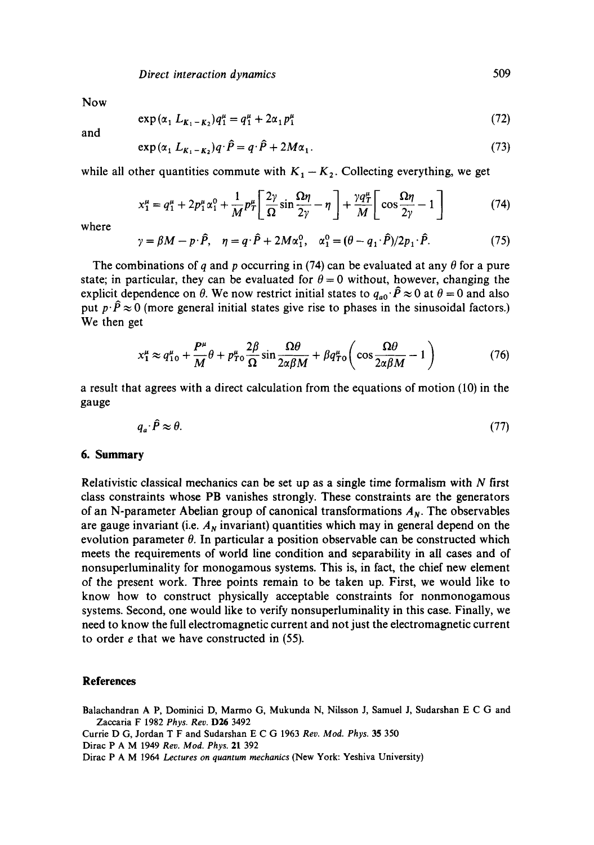Now

$$
\exp(\alpha_1 L_{K_1 - K_2}) q_1^{\mu} = q_1^{\mu} + 2\alpha_1 p_1^{\mu} \tag{72}
$$

and

$$
\exp\left(\alpha_1 L_{K_1-K_2}\right) q \cdot \hat{P} = q \cdot \hat{P} + 2M\alpha_1. \tag{73}
$$

while all other quantities commute with  $K_1 - K_2$ . Collecting everything, we get

$$
x_1^{\mu} = q_1^{\mu} + 2p_1^{\mu} \alpha_1^0 + \frac{1}{M} p_T^{\mu} \left[ \frac{2\gamma}{\Omega} \sin \frac{\Omega \eta}{2\gamma} - \eta \right] + \frac{\gamma q_T^{\mu}}{M} \left[ \cos \frac{\Omega \eta}{2\gamma} - 1 \right]
$$
(74)

where

$$
\gamma = \beta M - p \cdot \hat{P}, \quad \eta = q \cdot \hat{P} + 2M\alpha_1^0, \quad \alpha_1^0 = (\theta - q_1 \cdot \hat{P})/2p_1 \cdot \hat{P}.
$$
 (75)

The combinations of q and p occurring in (74) can be evaluated at any  $\theta$  for a pure state; in particular, they can be evaluated for  $\theta = 0$  without, however, changing the explicit dependence on  $\theta$ . We now restrict initial states to  $q_{a0} \cdot \hat{P} \approx 0$  at  $\theta = 0$  and also put  $p \cdot \hat{P} \approx 0$  (more general initial states give rise to phases in the sinusoidal factors.) We then get

$$
x_1^{\mu} \approx q_{10}^{\mu} + \frac{P^{\mu}}{M} \theta + p_{T0}^{\mu} \frac{2\beta}{\Omega} \sin \frac{\Omega \theta}{2\alpha \beta M} + \beta q_{T0}^{\mu} \left( \cos \frac{\Omega \theta}{2\alpha \beta M} - 1 \right)
$$
 (76)

a result that agrees with a direct calculation from the equations of motion (10) in the gauge

$$
q_a \cdot \hat{P} \approx \theta. \tag{77}
$$

#### **6. Summary**

Relativistic classical mechanics can be set up as a single time formalism with  $N$  first class constraints whose PB vanishes strongly. These constraints are the generators of an N-parameter Abelian group of canonical transformations  $A_N$ . The observables are gauge invariant (i.e.  $A<sub>N</sub>$  invariant) quantities which may in general depend on the evolution parameter  $\theta$ . In particular a position observable can be constructed which meets the requirements of world line condition and separability in all cases and of nonsuperluminality for monogamous systems. This is, in fact, the chief new element of the present work. Three points remain to be taken up. First, we would like to know how to construct physically acceptable constraints for nonmonogamous systems. Second, one would like to verify nonsuperluminality in this case. Finally, we need to know the full electromagnetic current and not just the electromagnetic current to order e that we have constructed in (55).

#### **References**

Balachandran A P, Dominici D, Marmo G, Mukunda N, Nilsson J, Samuel J, Sudarshan E C G and Zacearia F 1982 *Phys. Rev.* D26 3492

Currie D G, Jordan T F and Sudarshan E C G 1963 *Rev. Mod. Phys.* 35 350

Dirac P A M 1949 *Rev. Mod. Phys.* 21 392

Dirac P A M 1964 *Lectures on quantum mechanics* (New York: Yeshiva University)